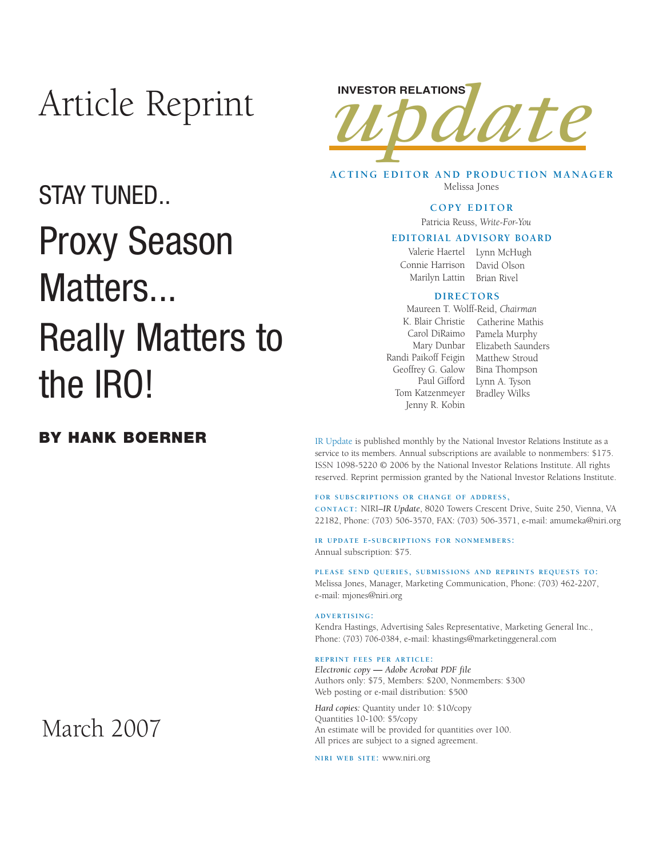## Article Reprint

### STAY TUNED..

## Proxy Season Matters... Really Matters to the IRO!

#### **BY HANK BOERNER**

# INVESTOR RELATIONS<br>**IMMODIATE**

**ACTING EDITOR AND PRODUCTION MANAGER** Melissa Jones

#### **COPY EDITOR**

Patricia Reuss, *Write-For-You*

#### **EDITORIAL ADVISORY BOARD**

Valerie Haertel Lynn McHugh Connie Harrison David Olson Marilyn Lattin Brian Rivel

#### **DIRECTORS**

Randi Paikoff Feigin Matthew Stroud Geoffrey G. Galow Paul Gifford Tom Katzenmeyer Jenny R. Kobin Maureen T. Wolff-Reid, *Chairman*

K. Blair Christie Catherine Mathis Carol DiRaimo Pamela Murphy Mary Dunbar Elizabeth Saunders Bina Thompson Lynn A. Tyson Bradley Wilks

IR Update is published monthly by the National Investor Relations Institute as a service to its members. Annual subscriptions are available to nonmembers: \$175. ISSN 1098-5220 © 2006 by the National Investor Relations Institute. All rights reserved. Reprint permission granted by the National Investor Relations Institute.

**FOR SUBSCRIPTIONS OR CHANGE OF ADDRESS,** 

**CONTACT:** NIRI–*IR Update*, 8020 Towers Crescent Drive, Suite 250, Vienna, VA 22182, Phone: (703) 506-3570, FAX: (703) 506-3571, e-mail: amumeka@niri.org

**IR UPDATE E-SUBCRIPTIONS FOR NONMEMBERS:**  Annual subscription: \$75.

**PLEASE SEND QUERIES, SUBMISSIONS AND REPRINTS REQUESTS TO:** Melissa Jones, Manager, Marketing Communication, Phone: (703) 462-2207, e-mail: mjones@niri.org

#### **ADVERTISING:**

Kendra Hastings, Advertising Sales Representative, Marketing General Inc., Phone: (703) 706-0384, e-mail: khastings@marketinggeneral.com

#### **REPRINT FEES PER ARTICLE:**

*Electronic copy* **—** *Adobe Acrobat PDF file*  Authors only: \$75, Members: \$200, Nonmembers: \$300 Web posting or e-mail distribution: \$500

*Hard copies:* Quantity under 10: \$10/copy Quantities 10-100: \$5/copy An estimate will be provided for quantities over 100. All prices are subject to a signed agreement.

**NIRI WEB SITE:** www.niri.org

## March 2007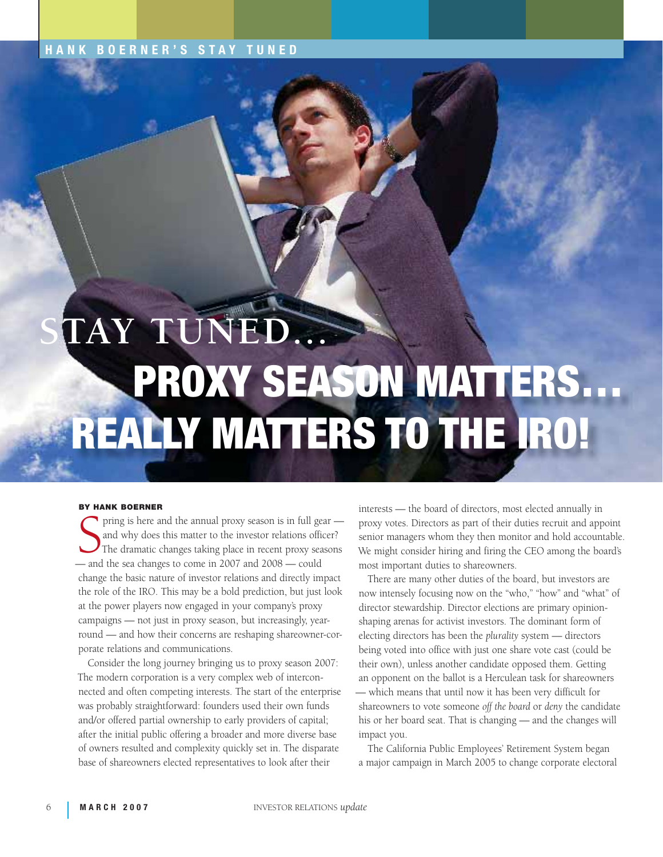#### **HANK BOERNER'S STAY TUNED**

# PROXY SEASON MATTERS… REALLY MATTERS TO THE IRO! **STAY TUNED...**

#### **BY HANK BOERNER**

Finning is never and the annual proxy season is in fun get<br>and why does this matter to the investor relations office<br>The dramatic changes taking place in recent proxy sea<br>— and the sea changes to come in 2007 and 2008 — co pring is here and the annual proxy season is in full gear and why does this matter to the investor relations officer? The dramatic changes taking place in recent proxy seasons change the basic nature of investor relations and directly impact the role of the IRO. This may be a bold prediction, but just look at the power players now engaged in your company's proxy campaigns — not just in proxy season, but increasingly, yearround — and how their concerns are reshaping shareowner-corporate relations and communications.

Consider the long journey bringing us to proxy season 2007: The modern corporation is a very complex web of interconnected and often competing interests. The start of the enterprise was probably straightforward: founders used their own funds and/or offered partial ownership to early providers of capital; after the initial public offering a broader and more diverse base of owners resulted and complexity quickly set in. The disparate base of shareowners elected representatives to look after their

interests — the board of directors, most elected annually in proxy votes. Directors as part of their duties recruit and appoint senior managers whom they then monitor and hold accountable. We might consider hiring and firing the CEO among the board's most important duties to shareowners.

There are many other duties of the board, but investors are now intensely focusing now on the "who," "how" and "what" of director stewardship. Director elections are primary opinionshaping arenas for activist investors. The dominant form of electing directors has been the *plurality* system — directors being voted into office with just one share vote cast (could be their own), unless another candidate opposed them. Getting an opponent on the ballot is a Herculean task for shareowners — which means that until now it has been very difficult for shareowners to vote someone *off the board* or *deny* the candidate his or her board seat. That is changing — and the changes will impact you.

The California Public Employees' Retirement System began a major campaign in March 2005 to change corporate electoral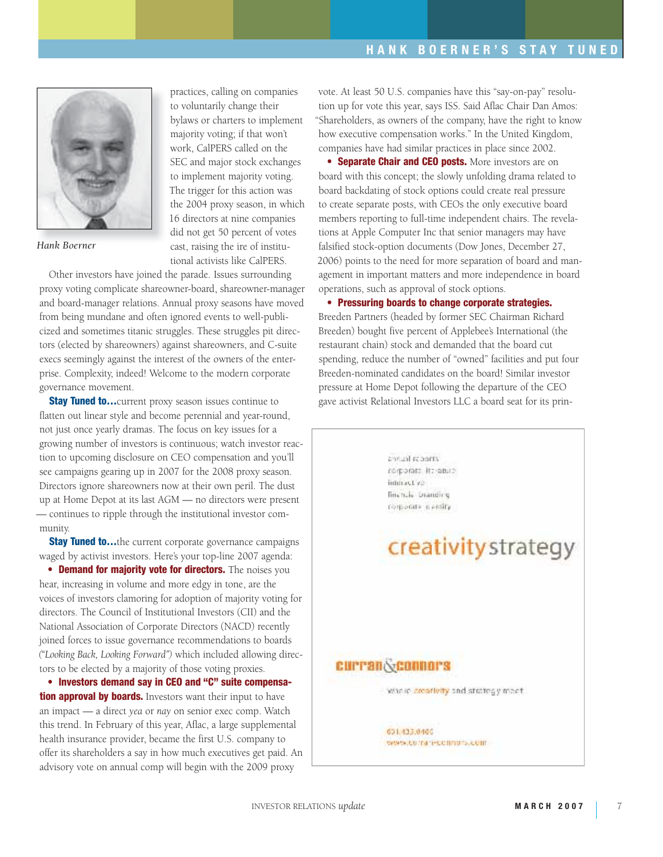

*Hank Boerner*

practices, calling on companies to voluntarily change their bylaws or charters to implement majority voting; if that won't work, CalPERS called on the SEC and major stock exchanges to implement majority voting. The trigger for this action was the 2004 proxy season, in which 16 directors at nine companies did not get 50 percent of votes cast, raising the ire of institutional activists like CalPERS.

Other investors have joined the parade. Issues surrounding proxy voting complicate shareowner-board, shareowner-manager and board-manager relations. Annual proxy seasons have moved from being mundane and often ignored events to well-publicized and sometimes titanic struggles. These struggles pit directors (elected by shareowners) against shareowners, and C-suite execs seemingly against the interest of the owners of the enterprise. Complexity, indeed! Welcome to the modern corporate governance movement.

**Stay Tuned to...** current proxy season issues continue to flatten out linear style and become perennial and year-round, not just once yearly dramas. The focus on key issues for a growing number of investors is continuous; watch investor reaction to upcoming disclosure on CEO compensation and you'll see campaigns gearing up in 2007 for the 2008 proxy season. Directors ignore shareowners now at their own peril. The dust up at Home Depot at its last AGM — no directors were present — continues to ripple through the institutional investor community.

**Stay Tuned to...**the current corporate governance campaigns waged by activist investors. Here's your top-line 2007 agenda:

**• Demand for majority vote for directors.** The noises you hear, increasing in volume and more edgy in tone, are the voices of investors clamoring for adoption of majority voting for directors. The Council of Institutional Investors (CII) and the National Association of Corporate Directors (NACD) recently joined forces to issue governance recommendations to boards *("Looking Back, Looking Forward")* which included allowing directors to be elected by a majority of those voting proxies.

**• Investors demand say in CEO and "C" suite compensation approval by boards.** Investors want their input to have an impact — a direct *yea* or *nay* on senior exec comp. Watch this trend. In February of this year, Aflac, a large supplemental health insurance provider, became the first U.S. company to offer its shareholders a say in how much executives get paid. An advisory vote on annual comp will begin with the 2009 proxy

vote. At least 50 U.S. companies have this "say-on-pay" resolution up for vote this year, says ISS. Said Aflac Chair Dan Amos: "Shareholders, as owners of the company, have the right to know how executive compensation works." In the United Kingdom, companies have had similar practices in place since 2002.

**• Separate Chair and CEO posts.** More investors are on board with this concept; the slowly unfolding drama related to board backdating of stock options could create real pressure to create separate posts, with CEOs the only executive board members reporting to full-time independent chairs. The revelations at Apple Computer Inc that senior managers may have falsified stock-option documents (Dow Jones, December 27, 2006) points to the need for more separation of board and management in important matters and more independence in board operations, such as approval of stock options.

**• Pressuring boards to change corporate strategies.**  Breeden Partners (headed by former SEC Chairman Richard Breeden) bought five percent of Applebee's International (the restaurant chain) stock and demanded that the board cut spending, reduce the number of "owned" facilities and put four Breeden-nominated candidates on the board! Similar investor pressure at Home Depot following the departure of the CEO gave activist Relational Investors LLC a board seat for its prin-



INVESTOR RELATIONS *update* **MARCH 2007** 7